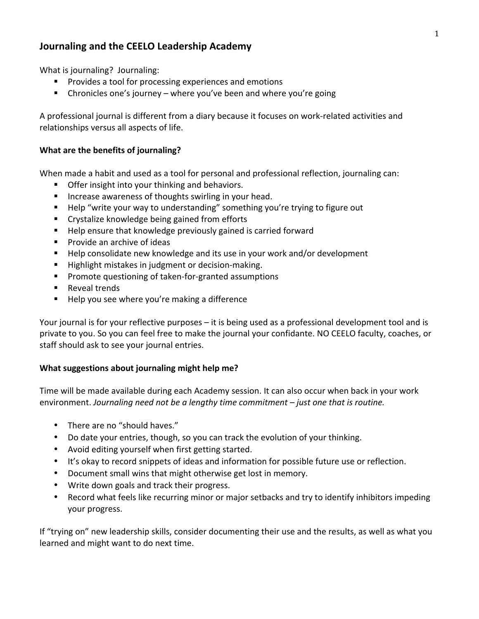## **Journaling and the CEELO Leadership Academy**

What is journaling? Journaling:

- Provides a tool for processing experiences and emotions
- **E** Chronicles one's journey where you've been and where you're going

A professional journal is different from a diary because it focuses on work-related activities and relationships versus all aspects of life.

## **What are the benefits of journaling?**

When made a habit and used as a tool for personal and professional reflection, journaling can:

- Offer insight into your thinking and behaviors.
- Increase awareness of thoughts swirling in your head.
- " Help "write your way to understanding" something you're trying to figure out
- Crystalize knowledge being gained from efforts
- " Help ensure that knowledge previously gained is carried forward
- **Provide an archive of ideas**
- Help consolidate new knowledge and its use in your work and/or development
- **E** Highlight mistakes in judgment or decision-making.
- **Peromote questioning of taken-for-granted assumptions**
- Reveal trends
- Help you see where you're making a difference

Your journal is for your reflective purposes – it is being used as a professional development tool and is private to you. So you can feel free to make the journal your confidante. NO CEELO faculty, coaches, or staff should ask to see your journal entries.

## **What suggestions about journaling might help me?**

Time will be made available during each Academy session. It can also occur when back in your work environment. *Journaling need not be a lengthy time commitment* – *just one that is routine.* 

- There are no "should haves."
- Do date your entries, though, so you can track the evolution of your thinking.
- Avoid editing yourself when first getting started.
- It's okay to record snippets of ideas and information for possible future use or reflection.
- Document small wins that might otherwise get lost in memory.
- Write down goals and track their progress.
- Record what feels like recurring minor or major setbacks and try to identify inhibitors impeding your progress.

If "trying on" new leadership skills, consider documenting their use and the results, as well as what you learned and might want to do next time.